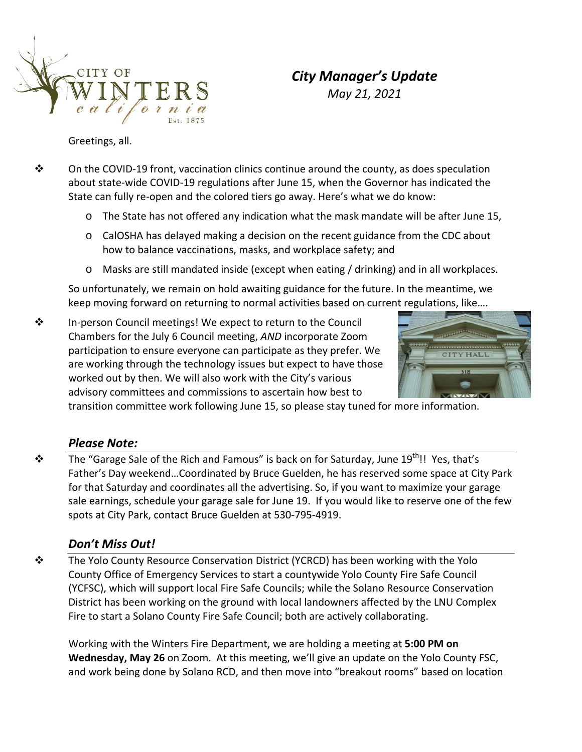

# *City Manager's Update*

*May 21, 2021*

Greetings, all.

- On the COVID‐19 front, vaccination clinics continue around the county, as does speculation about state‐wide COVID‐19 regulations after June 15, when the Governor has indicated the State can fully re-open and the colored tiers go away. Here's what we do know:
	- o The State has not offered any indication what the mask mandate will be after June 15,
	- $\circ$  CalOSHA has delayed making a decision on the recent guidance from the CDC about how to balance vaccinations, masks, and workplace safety; and
	- o Masks are still mandated inside (except when eating / drinking) and in all workplaces.

So unfortunately, we remain on hold awaiting guidance for the future. In the meantime, we keep moving forward on returning to normal activities based on current regulations, like….

 In‐person Council meetings! We expect to return to the Council Chambers for the July 6 Council meeting, *AND* incorporate Zoom participation to ensure everyone can participate as they prefer. We are working through the technology issues but expect to have those worked out by then. We will also work with the City's various advisory committees and commissions to ascertain how best to



transition committee work following June 15, so please stay tuned for more information.

### *Please Note:*

 $\mathbf{\hat{P}}$  The "Garage Sale of the Rich and Famous" is back on for Saturday, June 19<sup>th</sup>!! Yes, that's Father's Day weekend…Coordinated by Bruce Guelden, he has reserved some space at City Park for that Saturday and coordinates all the advertising. So, if you want to maximize your garage sale earnings, schedule your garage sale for June 19. If you would like to reserve one of the few spots at City Park, contact Bruce Guelden at 530‐795‐4919.

## *Don't Miss Out!*

 The Yolo County Resource Conservation District (YCRCD) has been working with the Yolo County Office of Emergency Services to start a countywide Yolo County Fire Safe Council (YCFSC), which will support local Fire Safe Councils; while the Solano Resource Conservation District has been working on the ground with local landowners affected by the LNU Complex Fire to start a Solano County Fire Safe Council; both are actively collaborating.

Working with the Winters Fire Department, we are holding a meeting at **5:00 PM on Wednesday, May 26** on Zoom. At this meeting, we'll give an update on the Yolo County FSC, and work being done by Solano RCD, and then move into "breakout rooms" based on location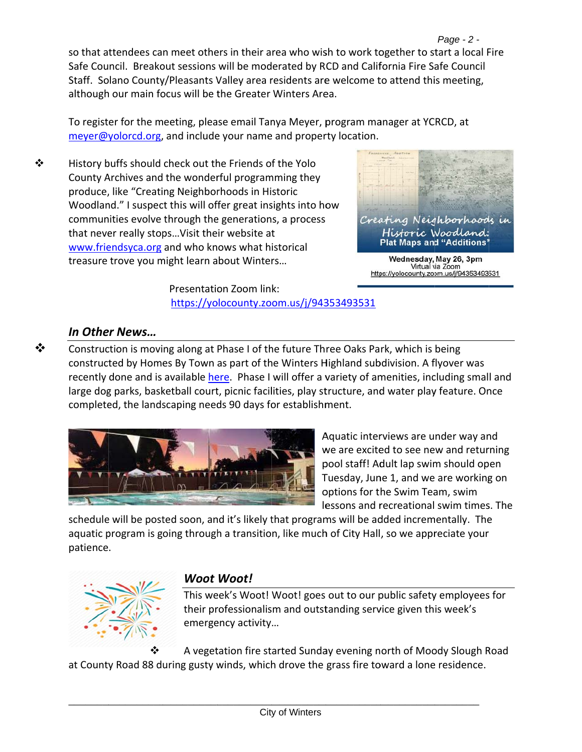Page - 2 so that attendees can meet others in their area who wish to work together to start a local Fire Safe Council. Breakout sessions will be moderated by RCD and California Fire Safe Council Staff. Solano County/Pleasants Valley area residents are welcome to attend this meeting, although our main focus will be the Greater Winters Area.

To register for the meeting, please email Tanya Meyer, program manager at YCRCD, at meyer@yolorcd.org, and include your name and property location.

❖ History buffs should check out the Friends of the Yolo County Archives and the wonderful programming they produce, like "Creating Neighborhoods in Historic Woodland." I suspect this will offer great insights into how communities evolve through the generations, a process that never really stops... Visit their website at www.friendsyca.org and who knows what historical treasure trove you might learn about Winters...



Creating Nerg hborhoods in Historic Woodland: **Plat Maps and "Additions"** 

Wednesday, May 26, 3pm Virtual via Zoom https://yolocounty.zoom.us/j/94353493531

Presentation Zoom link: https://yolocounty.zoom.us/j/94353493531

## In Other News...

❖

Construction is moving along at Phase I of the future Three Oaks Park, which is being constructed by Homes By Town as part of the Winters Highland subdivision. A flyover was recently done and is available here. Phase I will offer a variety of amenities, including small and large dog parks, basketball court, picnic facilities, play structure, and water play feature. Once completed, the landscaping needs 90 days for establishment.



Aquatic interviews are under way and we are excited to see new and returning pool staff! Adult lap swim should open Tuesday, June 1, and we are working on options for the Swim Team, swim lessons and recreational swim times. The

schedule will be posted soon, and it's likely that programs will be added incrementally. The aquatic program is going through a transition, like much of City Hall, so we appreciate your patience.



## **Woot Woot!**

This week's Woot! Woot! goes out to our public safety employees for their professionalism and outstanding service given this week's emergency activity...

A vegetation fire started Sunday evening north of Moody Slough Road at County Road 88 during gusty winds, which drove the grass fire toward a lone residence.